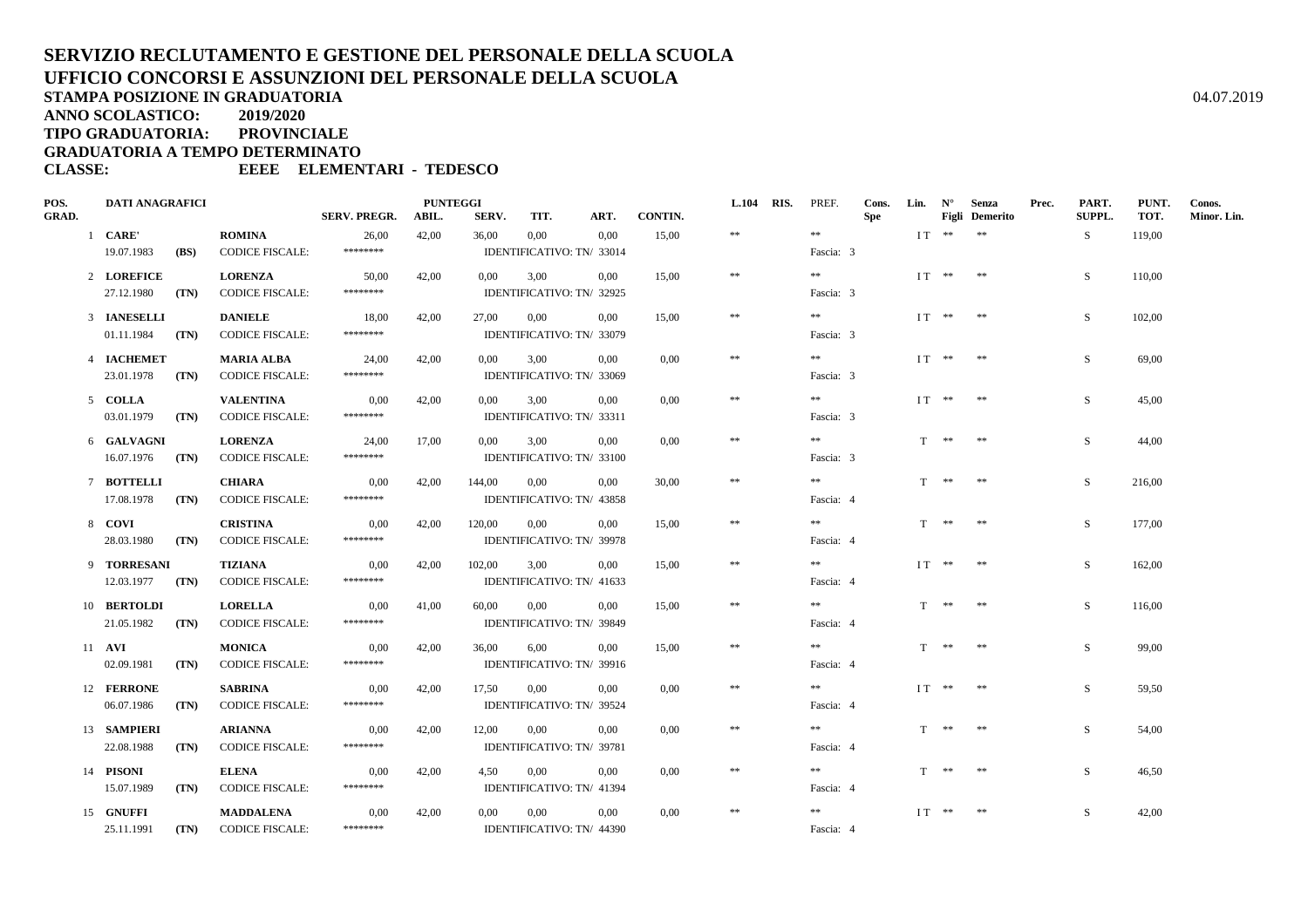## **SERVIZIO RECLUTAMENTO E GESTIONE DEL PERSONALE DELLA SCUOLAUFFICIO CONCORSI E ASSUNZIONI DEL PERSONALE DELLA SCUOLASTAMPA POSIZIONE IN GRADUATORIA**A  $04.07.2019$

**ANNO SCOLASTICO:2019/2020**

**TIPO GRADUATORIA: PROVINCIALE**

**GRADUATORIA A TEMPO DETERMINATO**

**CLASSE: EEEE ELEMENTARI - TEDESCO**

| POS.  |  | <b>DATI ANAGRAFICI</b> |                                                                         |                        | <b>PUNTEGGI</b>     |       |          |                           |                           |          |            | <b>L.104 RIS.</b> PREF. | Cons.      | Lin. $N^{\circ}$ |            | Senza                 | Prec. | PART.  | PUNT.  | Conos.      |
|-------|--|------------------------|-------------------------------------------------------------------------|------------------------|---------------------|-------|----------|---------------------------|---------------------------|----------|------------|-------------------------|------------|------------------|------------|-----------------------|-------|--------|--------|-------------|
| GRAD. |  |                        |                                                                         |                        | <b>SERV. PREGR.</b> | ABIL. | SERV.    | TIT.                      | ART.                      | CONTIN.  |            |                         | <b>Spe</b> |                  |            | <b>Figli</b> Demerito |       | SUPPL. | TOT.   | Minor. Lin. |
|       |  | 1 CARE'                |                                                                         | <b>ROMINA</b>          | 26,00               | 42,00 | 36,00    | $0.00\,$                  | 0.00                      | 15,00    | $\pm\pm$   | $\pm\pm$                |            |                  | $IT$ ** ** |                       |       | S.     | 119,00 |             |
|       |  | 19.07.1983             | (BS)                                                                    | <b>CODICE FISCALE:</b> | ********            |       |          |                           | IDENTIFICATIVO: TN/ 33014 |          |            | Fascia: 3               |            |                  |            |                       |       |        |        |             |
|       |  | 2 LOREFICE             |                                                                         | <b>LORENZA</b>         | 50,00               | 42,00 | $0.00\,$ | 3.00                      | 0.00                      | 15.00    | $\ast$     | **                      |            |                  | $IT$ ** ** |                       |       | S.     | 110,00 |             |
|       |  | 27.12.1980             | (TN)                                                                    | <b>CODICE FISCALE:</b> | ********            |       |          | IDENTIFICATIVO: TN/ 32925 |                           |          |            | Fascia: 3               |            |                  |            |                       |       |        |        |             |
|       |  | 3 IANESELLI            |                                                                         | <b>DANIELE</b>         | 18,00               | 42,00 | 27,00    | 0,00                      | 0.00                      | 15,00    | $\ast\ast$ | **                      |            |                  | $IT$ ** ** |                       |       | S      | 102,00 |             |
|       |  | 01.11.1984             | (TN)                                                                    | <b>CODICE FISCALE:</b> | ********            |       |          | IDENTIFICATIVO: TN/ 33079 |                           |          |            | Fascia: 3               |            |                  |            |                       |       |        |        |             |
|       |  | 4 IACHEMET             |                                                                         | <b>MARIA ALBA</b>      | 24,00               | 42.00 | $0.00\,$ | 3.00                      | 0.00                      | 0.00     | $\ast$     | **                      |            |                  | $IT$ ** ** |                       |       | S.     | 69,00  |             |
|       |  | 23.01.1978             | (TN)                                                                    | <b>CODICE FISCALE:</b> | ********            |       |          | IDENTIFICATIVO: TN/ 33069 |                           |          |            | Fascia: 3               |            |                  |            |                       |       |        |        |             |
|       |  | 5 COLLA                |                                                                         | <b>VALENTINA</b>       | 0.00                | 42.00 | $0.00\,$ | 3.00                      | $0.00\,$                  | $0.00\,$ | $\ast$     | **                      |            |                  | $IT$ ** ** |                       |       | S.     | 45.00  |             |
|       |  | 03.01.1979             | (TN)                                                                    | <b>CODICE FISCALE:</b> | ********            |       |          | IDENTIFICATIVO: TN/ 33311 |                           |          |            | Fascia: 3               |            |                  |            |                       |       |        |        |             |
|       |  | 6 GALVAGNI             |                                                                         | <b>LORENZA</b>         | 24.00               | 17.00 | 0.00     | 3.00                      | 0.00                      | $0.00\,$ | $**$       | **                      |            |                  | T ** **    |                       |       | S.     | 44,00  |             |
|       |  | 16.07.1976             | (TN)                                                                    | <b>CODICE FISCALE:</b> | ********            |       |          |                           | IDENTIFICATIVO: TN/ 33100 |          |            | Fascia: 3               |            |                  |            |                       |       |        |        |             |
|       |  | 7 BOTTELLI             |                                                                         | <b>CHIARA</b>          | 0,00                | 42,00 | 144,00   | $0.00\,$                  | 0.00                      | 30,00    | $\ast\ast$ | **                      |            |                  | T ** **    |                       |       | S.     | 216.00 |             |
|       |  | 17.08.1978             | (TN)                                                                    | <b>CODICE FISCALE:</b> | ********            |       |          | IDENTIFICATIVO: TN/ 43858 |                           |          |            | Fascia: 4               |            |                  |            |                       |       |        |        |             |
|       |  | 8 COVI                 |                                                                         | <b>CRISTINA</b>        | 0,00                | 42,00 | 120,00   | $0.00\,$                  | 0,00                      | 15,00    | $\ast$     | **                      |            |                  | T ** **    |                       |       | S.     | 177,00 |             |
|       |  | 28.03.1980             | (TN)                                                                    | <b>CODICE FISCALE:</b> | ********            |       |          |                           | IDENTIFICATIVO: TN/ 39978 |          | Fascia: 4  |                         |            |                  |            |                       |       |        |        |             |
|       |  | 9 TORRESANI            |                                                                         | TIZIANA                | 0,00                | 42,00 | 102,00   | 3,00                      | $0.00\,$                  | 15,00    | $\ast$     | **                      |            |                  | $IT$ ** ** |                       |       | S.     | 162,00 |             |
|       |  | 12.03.1977             | (TN)                                                                    | <b>CODICE FISCALE:</b> | ********            |       |          | IDENTIFICATIVO: TN/ 41633 |                           |          |            | Fascia: 4               |            |                  |            |                       |       |        |        |             |
|       |  | 10 BERTOLDI            |                                                                         | <b>LORELLA</b>         | 0,00                | 41,00 | 60,00    | $0.00\,$                  | 0.00                      | 15,00    | $\ast\ast$ | **                      |            |                  | T ** **    |                       |       | S      | 116,00 |             |
|       |  | 21.05.1982             | ********<br>(TN)<br><b>CODICE FISCALE:</b><br>IDENTIFICATIVO: TN/ 39849 |                        |                     |       |          | Fascia: 4                 |                           |          |            |                         |            |                  |            |                       |       |        |        |             |
|       |  | 11 <b>AVI</b>          |                                                                         | <b>MONICA</b>          | 0,00                | 42,00 | 36.00    | 6,00                      | 0.00                      | 15.00    | $\ast$     | **                      |            |                  | T ** **    |                       |       | S.     | 99,00  |             |
|       |  | 02.09.1981             | (TN)                                                                    | <b>CODICE FISCALE:</b> | ********            |       |          |                           | IDENTIFICATIVO: TN/ 39916 |          |            | Fascia: 4               |            |                  |            |                       |       |        |        |             |
|       |  | 12 FERRONE             |                                                                         | <b>SABRINA</b>         | 0,00                | 42,00 | 17.50    | $0.00\,$                  | 0.00                      | $0.00\,$ | $\ast\ast$ | $* *$                   |            |                  | $IT$ ** ** |                       |       | S.     | 59,50  |             |
|       |  | 06.07.1986             | (TN)                                                                    | <b>CODICE FISCALE:</b> | ********            |       |          |                           | IDENTIFICATIVO: TN/ 39524 |          |            | Fascia: 4               |            |                  |            |                       |       |        |        |             |
|       |  | 13 SAMPIERI            |                                                                         | <b>ARIANNA</b>         | 0,00                | 42,00 | 12,00    | $0.00\,$                  | 0.00                      | $0.00\,$ | $\ast\ast$ | **                      |            |                  | T ** **    |                       |       | S.     | 54,00  |             |
|       |  | 22.08.1988             | (TN)                                                                    | <b>CODICE FISCALE:</b> | ********            |       |          | IDENTIFICATIVO: TN/ 39781 |                           |          |            | Fascia: 4               |            |                  |            |                       |       |        |        |             |
|       |  | 14 PISONI              |                                                                         | <b>ELENA</b>           | 0,00                | 42,00 |          | 4.50 0.00                 | 0.00                      | $0.00\,$ | $\pm\pm$   | $* *$                   |            |                  | T ** **    |                       |       | S.     | 46.50  |             |
|       |  | 15.07.1989             | (TN)                                                                    | <b>CODICE FISCALE:</b> | ********            |       |          |                           | IDENTIFICATIVO: TN/ 41394 |          |            | Fascia: 4               |            |                  |            |                       |       |        |        |             |
|       |  | 15 GNUFFI              |                                                                         | <b>MADDALENA</b>       | 0,00                | 42,00 | 0,00     | 0,00                      | 0.00                      | $0.00\,$ | $\ast\ast$ | $**$                    |            |                  | $IT$ ** ** |                       |       | S.     | 42,00  |             |
|       |  | 25.11.1991             |                                                                         | (TN) CODICE FISCALE:   | ********            |       |          |                           | IDENTIFICATIVO: TN/ 44390 |          |            | Fascia: 4               |            |                  |            |                       |       |        |        |             |